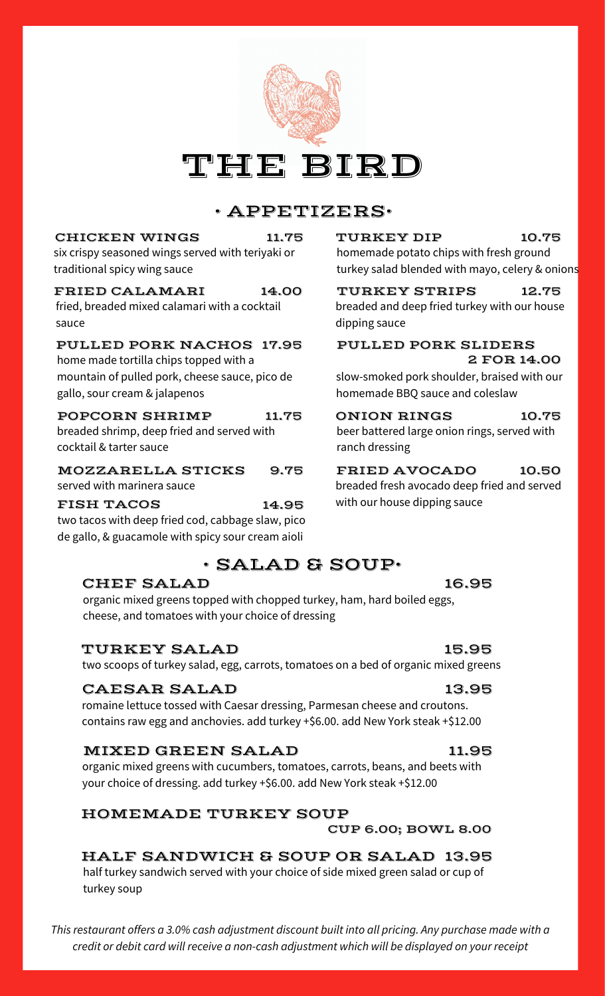# THE BIRD

# • APPETIZERS•

#### CHICKEN WINGS 11.75 TURKEY DIP

six crispy seasoned wings served with teriyaki or traditional spicy wing sauce

#### FRIED CALAMARI 14.00

fried, breaded mixed calamari with a cocktail sauce

#### PULLED PORK NACHOS 17.95

home made tortilla chips topped with a mountain of pulled pork, cheese sauce, pico de gallo, sour cream & jalapenos

#### POPCORN SHRIMP 11.75

breaded shrimp, deep fried and served with cocktail & tarter sauce

#### MOZZARELLA STICKS

served with marinera sauce

FISH TACOS 14.95 two tacos with deep fried cod, cabbage slaw, pico de gallo, & guacamole with spicy sour cream aioli

# • SALAD & SOUP•

## CHEF SALAD

organic mixed greens topped with chopped turkey, ham, hard boiled eggs, cheese, and tomatoes with your choice of dressing

## TURKEY SALAD

#### two scoops of turkey salad, egg, carrots, tomatoes on a bed of organic mixed greens

## CAESAR SALAD

romaine lettuce tossed with Caesar dressing, Parmesan cheese and croutons. contains raw egg and anchovies. add turkey +\$6.00. add New York steak +\$12.00

## MIXED GREEN SALAD

organic mixed greens with cucumbers, tomatoes, carrots, beans, and beets with your choice of dressing. add turkey +\$6.00. add New York steak +\$12.00

## HOMEMADE TURKEY SOUP

CUP 6.00; BOWL 8.00

HALF SANDWICH & SOUP OR SALAD 13.95 half turkey sandwich served with your choice of side mixed green salad or cup of turkey soup

*This restaurant offers a 3.0% cash adjustment discount built into all pricing. Any purchase made with a credit or debit card will receive a non-cash adjustment which will be displayed on your receipt*

#### homemade potato chips with fresh ground turkey salad blended with mayo, celery & onions 10.75

TURKEY STRIPS 12.75 breaded and deep fried turkey with our house dipping sauce

#### PULLED PORK SLIDERS 2 FOR 14.00

slow-smoked pork shoulder, braised with our homemade BBQ sauce and coleslaw

#### ONION RINGS 10.75

beer battered large onion rings, served with ranch dressing

#### 9.75 FRIED AVOCADO 10.50

breaded fresh avocado deep fried and served with our house dipping sauce

# 15.95

16.95

## 13.95

## 11.95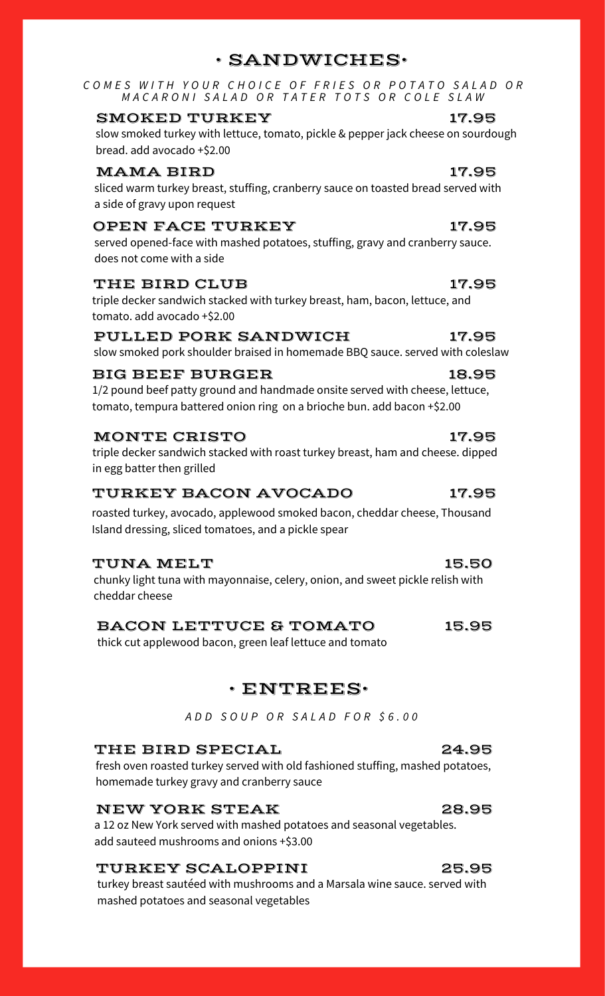COMES WITH YOUR CHOICE OF FRIES OR POTATO SALAD OR MACARONI SALAD OR TATER TOTS OR COLE SLAW

#### SMOKED TURKEY 17.95

slow smoked turkey with lettuce, tomato, pickle & pepper jack cheese on sourdough bread. add avocado +\$2.00

### MAMA BIRD 17.95

sliced warm turkey breast, stuffing, cranberry sauce on toasted bread served with a side of gravy upon request

#### OPEN FACE TURKEY 17.95

served opened-face with mashed potatoes, stuffing, gravy and cranberry sauce. does not come with a side

#### THE BIRD CLUB 17.95

triple decker sandwich stacked with turkey breast, ham, bacon, lettuce, and tomato. add avocado +\$2.00

#### PULLED PORK SANDWICH

slow smoked pork shoulder braised in homemade BBQ sauce. served with coleslaw

#### BIG BEEF BURGER 18.95

1/2 pound beef patty ground and handmade onsite served with cheese, lettuce, tomato, tempura battered onion ring on a brioche bun. add bacon +\$2.00

#### MONTE CRISTO

triple decker sandwich stacked with roast turkey breast, ham and cheese. dipped in egg batter then grilled

#### TURKEY BACON AVOCADO 17.95

roasted turkey, avocado, applewood smoked bacon, cheddar cheese, Thousand Island dressing, sliced tomatoes, and a pickle spear

#### TUNA MELT 15.50

chunky light tuna with mayonnaise, celery, onion, and sweet pickle relish with cheddar cheese

#### BACON LETTUCE & TOMATO 15.95

thick cut applewood bacon, green leaf lettuce and tomato

## • ENTREES•

*A D D S O U P O R S A L A D F O R \$ 6 . 0 0*

#### THE BIRD SPECIAL 24.95

fresh oven roasted turkey served with old fashioned stuffing, mashed potatoes, homemade turkey gravy and cranberry sauce

#### NEW YORK STEAK

a 12 oz New York served with mashed potatoes and seasonal vegetables. add sauteed mushrooms and onions +\$3.00

#### TURKEY SCALOPPINI 25.95

turkey breast sautéed with mushrooms and a Marsala wine sauce. served with mashed potatoes and seasonal vegetables

17.95

# 17.95

# 28.95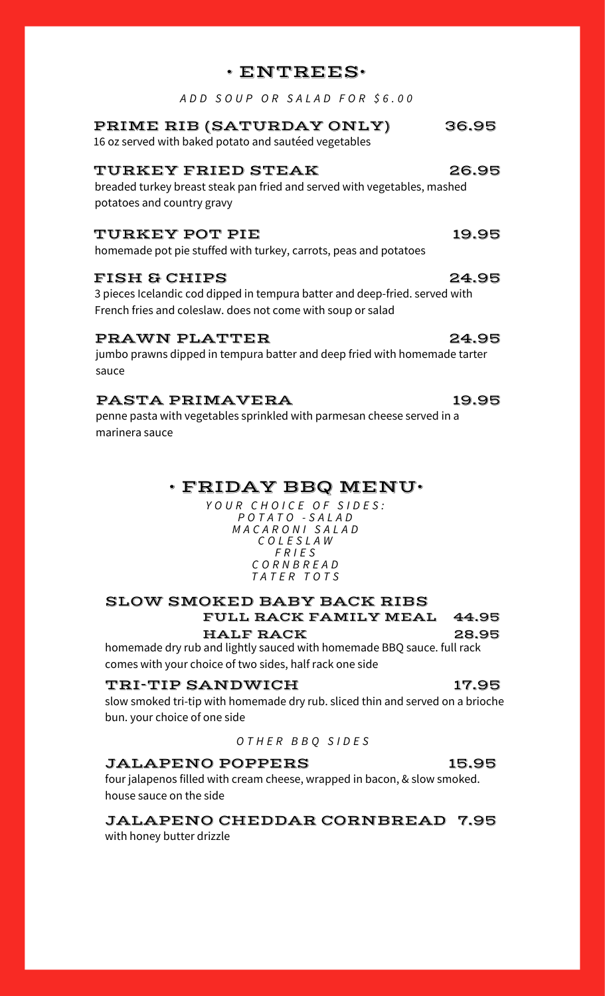## • ENTREES•

*A D D S O U P O R S A L A D F O R \$ 6 . 0 0*

## PRIME RIB (SATURDAY ONLY) 36.95

16 oz served with baked potato and sautéed vegetables

#### TURKEY FRIED STEAK 26.95

breaded turkey breast steak pan fried and served with vegetables, mashed potatoes and country gravy

#### TURKEY POT PIE 19.95

homemade pot pie stuffed with turkey, carrots, peas and potatoes

#### FISH & CHIPS 24.95

3 pieces Icelandic cod dipped in tempura batter and deep-fried. served with French fries and coleslaw. does not come with soup or salad

#### PRAWN PLATTER 24.95

jumbo prawns dipped in tempura batter and deep fried with homemade tarter sauce

#### PASTA PRIMAVERA 19.95

penne pasta with vegetables sprinkled with parmesan cheese served in a marinera sauce

## • FRIDAY BBQ MENU•

*Y O U R C H O I C E O F S I D E S : P O T A T O - S A L A D M A C A R O N I S A L A D C O L E S L A W F R I E S C O R N B R E A D T A T E R T O T S*

## SLOW SMOKED BABY BACK RIBS FULL RACK FAMILY MEAL 44.95

homemade dry rub and lightly sauced with homemade BBQ sauce. full rack comes with your choice of two sides, half rack one side HALF RACK 28.95

#### TRI-TIP SANDWICH 17.95

slow smoked tri-tip with homemade dry rub. sliced thin and served on a brioche bun. your choice of one side

*O T H E R B B Q S I D E S*

#### JALAPENO POPPERS 15.95

four jalapenos filled with cream cheese, wrapped in bacon, & slow smoked. house sauce on the side

JALAPENO CHEDDAR CORNBREAD 7.95 with honey butter drizzle